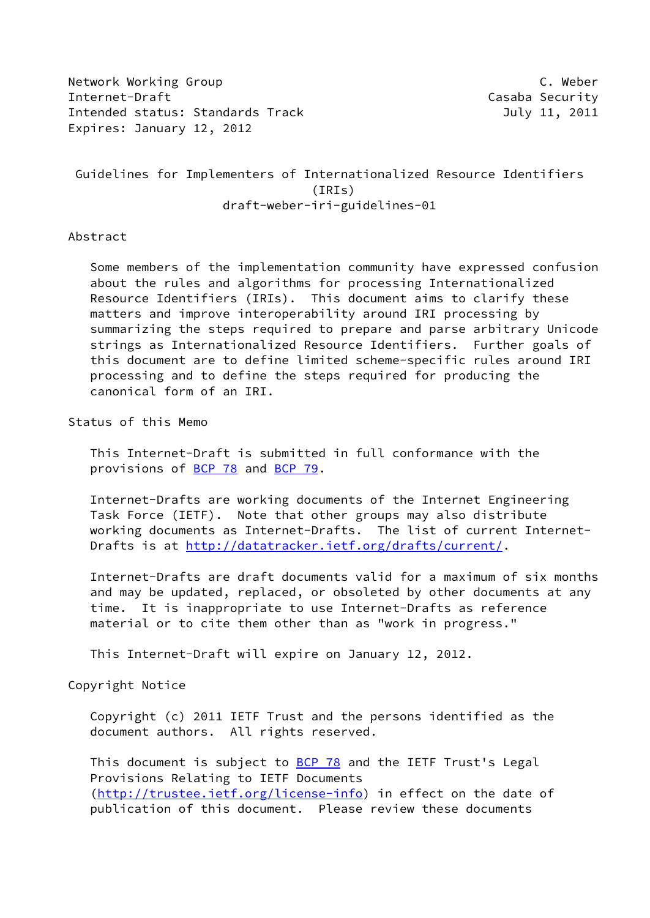Network Working Group **C. Weber** C. Weber Internet-Draft Casaba Security Intended status: Standards Track and the Controller of the July 11, 2011 Expires: January 12, 2012

 Guidelines for Implementers of Internationalized Resource Identifiers (IRIs) draft-weber-iri-guidelines-01

Abstract

 Some members of the implementation community have expressed confusion about the rules and algorithms for processing Internationalized Resource Identifiers (IRIs). This document aims to clarify these matters and improve interoperability around IRI processing by summarizing the steps required to prepare and parse arbitrary Unicode strings as Internationalized Resource Identifiers. Further goals of this document are to define limited scheme-specific rules around IRI processing and to define the steps required for producing the canonical form of an IRI.

Status of this Memo

 This Internet-Draft is submitted in full conformance with the provisions of [BCP 78](https://datatracker.ietf.org/doc/pdf/bcp78) and [BCP 79](https://datatracker.ietf.org/doc/pdf/bcp79).

 Internet-Drafts are working documents of the Internet Engineering Task Force (IETF). Note that other groups may also distribute working documents as Internet-Drafts. The list of current Internet- Drafts is at<http://datatracker.ietf.org/drafts/current/>.

 Internet-Drafts are draft documents valid for a maximum of six months and may be updated, replaced, or obsoleted by other documents at any time. It is inappropriate to use Internet-Drafts as reference material or to cite them other than as "work in progress."

This Internet-Draft will expire on January 12, 2012.

Copyright Notice

 Copyright (c) 2011 IETF Trust and the persons identified as the document authors. All rights reserved.

This document is subject to **[BCP 78](https://datatracker.ietf.org/doc/pdf/bcp78)** and the IETF Trust's Legal Provisions Relating to IETF Documents [\(http://trustee.ietf.org/license-info](http://trustee.ietf.org/license-info)) in effect on the date of publication of this document. Please review these documents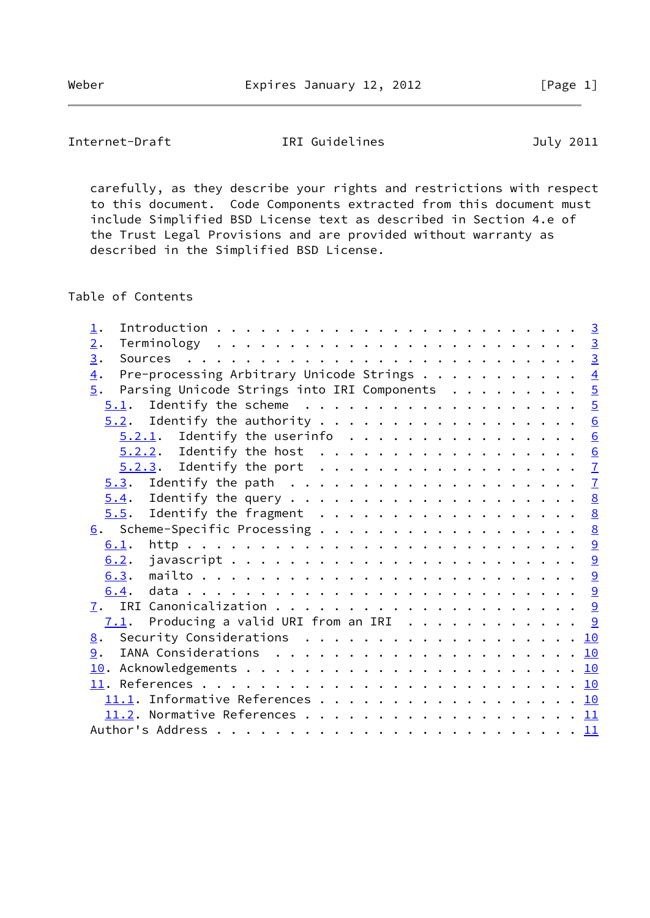# Internet-Draft IRI Guidelines July 2011

 carefully, as they describe your rights and restrictions with respect to this document. Code Components extracted from this document must include Simplified BSD License text as described in Section 4.e of the Trust Legal Provisions and are provided without warranty as described in the Simplified BSD License.

Table of Contents

| 1.                              |                                                           |  |  |  |  |  |  |  |  |  |  |  |  |
|---------------------------------|-----------------------------------------------------------|--|--|--|--|--|--|--|--|--|--|--|--|
| 2.                              |                                                           |  |  |  |  |  |  |  |  |  |  |  |  |
| 3.                              |                                                           |  |  |  |  |  |  |  |  |  |  |  |  |
| $\overline{4}$ .                | Pre-processing Arbitrary Unicode Strings $\frac{4}{5}$    |  |  |  |  |  |  |  |  |  |  |  |  |
| 5.                              | Parsing Unicode Strings into IRI Components $\frac{5}{2}$ |  |  |  |  |  |  |  |  |  |  |  |  |
|                                 |                                                           |  |  |  |  |  |  |  |  |  |  |  |  |
|                                 |                                                           |  |  |  |  |  |  |  |  |  |  |  |  |
|                                 | $\underline{5.2.1}$ . Identify the userinfo 6             |  |  |  |  |  |  |  |  |  |  |  |  |
|                                 | $\underline{5.2.2}$ . Identify the host 6                 |  |  |  |  |  |  |  |  |  |  |  |  |
|                                 |                                                           |  |  |  |  |  |  |  |  |  |  |  |  |
|                                 |                                                           |  |  |  |  |  |  |  |  |  |  |  |  |
|                                 |                                                           |  |  |  |  |  |  |  |  |  |  |  |  |
|                                 | $\underline{5.5}$ . Identify the fragment 8               |  |  |  |  |  |  |  |  |  |  |  |  |
| 6. Scheme-Specific Processing 8 |                                                           |  |  |  |  |  |  |  |  |  |  |  |  |
| 6.1.                            |                                                           |  |  |  |  |  |  |  |  |  |  |  |  |
| 6.2.                            |                                                           |  |  |  |  |  |  |  |  |  |  |  |  |
|                                 |                                                           |  |  |  |  |  |  |  |  |  |  |  |  |
| 6.4.                            |                                                           |  |  |  |  |  |  |  |  |  |  |  |  |
|                                 |                                                           |  |  |  |  |  |  |  |  |  |  |  |  |
|                                 | $\frac{7.1}{2}$ . Producing a valid URI from an IRI 9     |  |  |  |  |  |  |  |  |  |  |  |  |
| 8. Security Considerations 10   |                                                           |  |  |  |  |  |  |  |  |  |  |  |  |
| 9.                              |                                                           |  |  |  |  |  |  |  |  |  |  |  |  |
|                                 |                                                           |  |  |  |  |  |  |  |  |  |  |  |  |
|                                 |                                                           |  |  |  |  |  |  |  |  |  |  |  |  |
|                                 |                                                           |  |  |  |  |  |  |  |  |  |  |  |  |
|                                 |                                                           |  |  |  |  |  |  |  |  |  |  |  |  |
|                                 |                                                           |  |  |  |  |  |  |  |  |  |  |  |  |
|                                 |                                                           |  |  |  |  |  |  |  |  |  |  |  |  |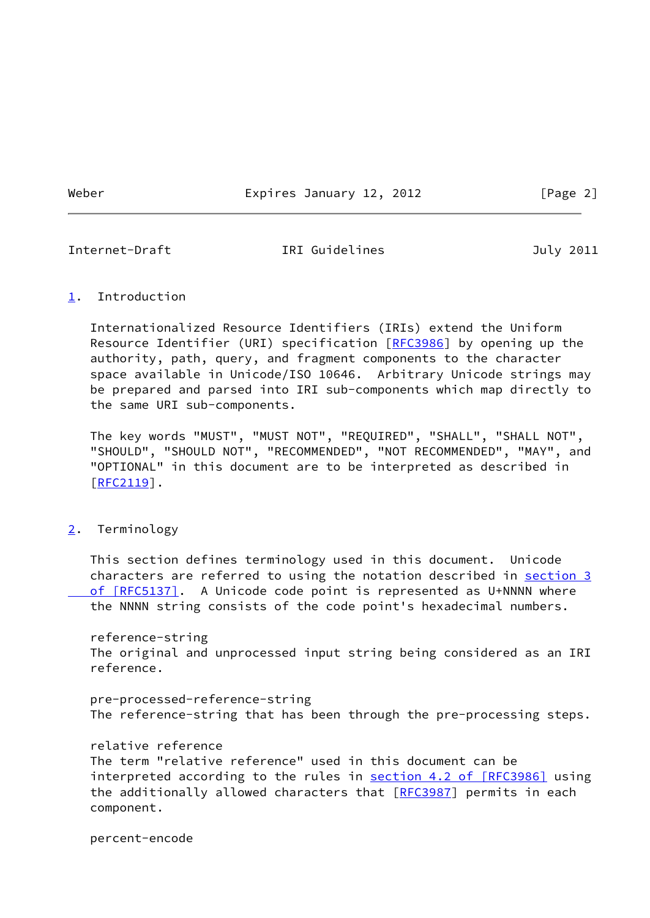Weber **Expires January 12, 2012** [Page 2]

<span id="page-2-1"></span>

Internet-Draft IRI Guidelines July 2011

### <span id="page-2-0"></span>[1](#page-2-0). Introduction

 Internationalized Resource Identifiers (IRIs) extend the Uniform Resource Identifier (URI) specification [\[RFC3986](https://datatracker.ietf.org/doc/pdf/rfc3986)] by opening up the authority, path, query, and fragment components to the character space available in Unicode/ISO 10646. Arbitrary Unicode strings may be prepared and parsed into IRI sub-components which map directly to the same URI sub-components.

 The key words "MUST", "MUST NOT", "REQUIRED", "SHALL", "SHALL NOT", "SHOULD", "SHOULD NOT", "RECOMMENDED", "NOT RECOMMENDED", "MAY", and "OPTIONAL" in this document are to be interpreted as described in [\[RFC2119](https://datatracker.ietf.org/doc/pdf/rfc2119)].

<span id="page-2-2"></span>[2](#page-2-2). Terminology

 This section defines terminology used in this document. Unicode characters are referred to using the notation described in [section](https://datatracker.ietf.org/doc/pdf/rfc5137#section-3) 3 of [RFC5137]. A Unicode code point is represented as U+NNNN where the NNNN string consists of the code point's hexadecimal numbers.

 reference-string The original and unprocessed input string being considered as an IRI reference.

 pre-processed-reference-string The reference-string that has been through the pre-processing steps.

relative reference

 The term "relative reference" used in this document can be interpreted according to the rules in section [4.2 of \[RFC3986\]](https://datatracker.ietf.org/doc/pdf/rfc3986#section-4.2) using the additionally allowed characters that [\[RFC3987](https://datatracker.ietf.org/doc/pdf/rfc3987)] permits in each component.

percent-encode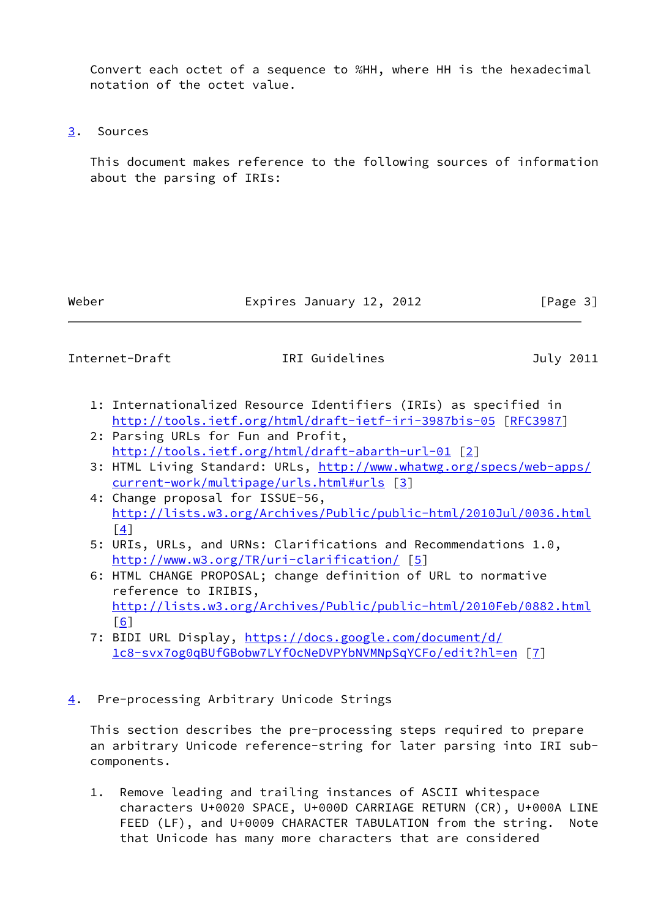Convert each octet of a sequence to %HH, where HH is the hexadecimal notation of the octet value.

<span id="page-3-0"></span>[3](#page-3-0). Sources

 This document makes reference to the following sources of information about the parsing of IRIs:

Weber **Expires January 12, 2012** [Page 3]

<span id="page-3-2"></span>Internet-Draft TRI Guidelines July 2011

- 1: Internationalized Resource Identifiers (IRIs) as specified in <http://tools.ietf.org/html/draft-ietf-iri-3987bis-05>[\[RFC3987](https://datatracker.ietf.org/doc/pdf/rfc3987)]
- 2: Parsing URLs for Fun and Profit, <http://tools.ietf.org/html/draft-abarth-url-01> [[2\]](#page-10-6)
- 3: HTML Living Standard: URLs, [http://www.whatwg.org/specs/web-apps/](http://www.whatwg.org/specs/web-apps/current-work/multipage/urls.html#urls) [current-work/multipage/urls.html#urls](http://www.whatwg.org/specs/web-apps/current-work/multipage/urls.html#urls) [\[3\]](#page-10-7)
- 4: Change proposal for ISSUE-56, <http://lists.w3.org/Archives/Public/public-html/2010Jul/0036.html>  $\lceil 4 \rceil$
- 5: URIs, URLs, and URNs: Clarifications and Recommendations 1.0, <http://www.w3.org/TR/uri-clarification/> [[5\]](#page-10-9)
- 6: HTML CHANGE PROPOSAL; change definition of URL to normative reference to IRIBIS, <http://lists.w3.org/Archives/Public/public-html/2010Feb/0882.html>  $[6]$  $[6]$
- 7: BIDI URL Display, [https://docs.google.com/document/d/](https://docs.google.com/document/d/1c8-svx7og0qBUfGBobw7LYfOcNeDVPYbNVMNpSqYCFo/edit?hl=en) [1c8-svx7og0qBUfGBobw7LYfOcNeDVPYbNVMNpSqYCFo/edit?hl=en](https://docs.google.com/document/d/1c8-svx7og0qBUfGBobw7LYfOcNeDVPYbNVMNpSqYCFo/edit?hl=en) [[7\]](#page-11-2)
- <span id="page-3-1"></span>[4](#page-3-1). Pre-processing Arbitrary Unicode Strings

 This section describes the pre-processing steps required to prepare an arbitrary Unicode reference-string for later parsing into IRI sub components.

 1. Remove leading and trailing instances of ASCII whitespace characters U+0020 SPACE, U+000D CARRIAGE RETURN (CR), U+000A LINE FEED (LF), and U+0009 CHARACTER TABULATION from the string. Note that Unicode has many more characters that are considered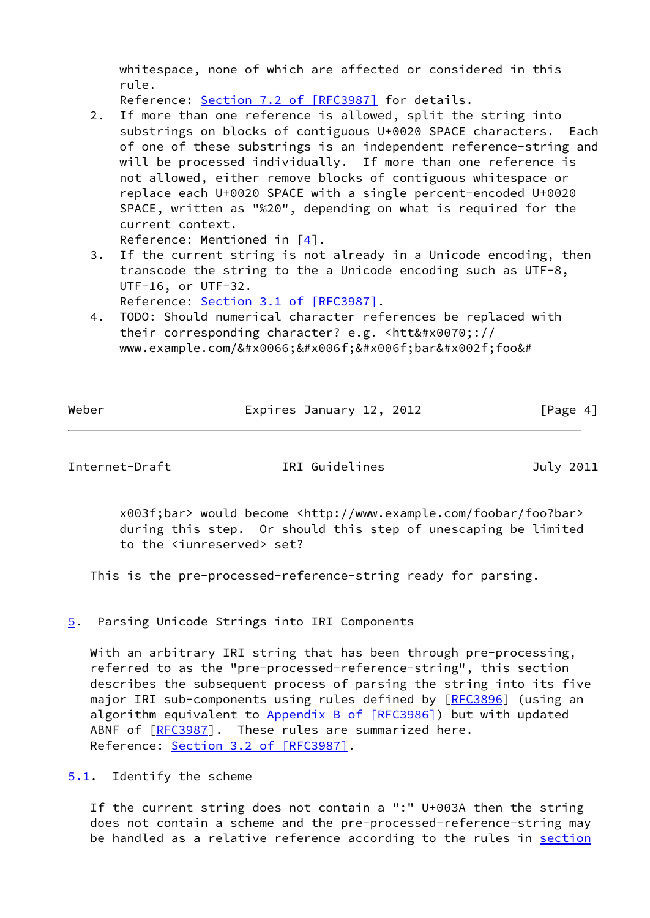whitespace, none of which are affected or considered in this rule.

Reference: Section [7.2 of \[RFC3987\]](https://datatracker.ietf.org/doc/pdf/rfc3987#section-7.2) for details.

 2. If more than one reference is allowed, split the string into substrings on blocks of contiguous U+0020 SPACE characters. Each of one of these substrings is an independent reference-string and will be processed individually. If more than one reference is not allowed, either remove blocks of contiguous whitespace or replace each U+0020 SPACE with a single percent-encoded U+0020 SPACE, written as "%20", depending on what is required for the current context.

Reference: Mentioned in  $\lceil 4 \rceil$ .

- 3. If the current string is not already in a Unicode encoding, then transcode the string to the a Unicode encoding such as UTF-8, UTF-16, or UTF-32.
	- Reference: Section [3.1 of \[RFC3987\].](https://datatracker.ietf.org/doc/pdf/rfc3987#section-3.1)
- 4. TODO: Should numerical character references be replaced with their corresponding character? e.g. <htt&#x0070;:// www.example.com/foobar/foo&#

Weber **Expires January 12, 2012** [Page 4]

<span id="page-4-1"></span>Internet-Draft IRI Guidelines July 2011

 x003f;bar> would become <http://www.example.com/foobar/foo?bar> during this step. Or should this step of unescaping be limited to the <iunreserved> set?

This is the pre-processed-reference-string ready for parsing.

<span id="page-4-0"></span>[5](#page-4-0). Parsing Unicode Strings into IRI Components

 With an arbitrary IRI string that has been through pre-processing, referred to as the "pre-processed-reference-string", this section describes the subsequent process of parsing the string into its five major IRI sub-components using rules defined by [\[RFC3896](https://datatracker.ietf.org/doc/pdf/rfc3896)] (using an algorithm equivalent to Appendix [B of \[RFC3986\]](https://datatracker.ietf.org/doc/pdf/rfc3986#appendix-B)) but with updated ABNF of [\[RFC3987](https://datatracker.ietf.org/doc/pdf/rfc3987)]. These rules are summarized here. Reference: Section [3.2 of \[RFC3987\].](https://datatracker.ietf.org/doc/pdf/rfc3987#section-3.2)

<span id="page-4-2"></span>[5.1](#page-4-2). Identify the scheme

 If the current string does not contain a ":" U+003A then the string does not contain a scheme and the pre-processed-reference-string may be handled as a relative reference according to the rules in [section](https://datatracker.ietf.org/doc/pdf/rfc3986#section-4.2)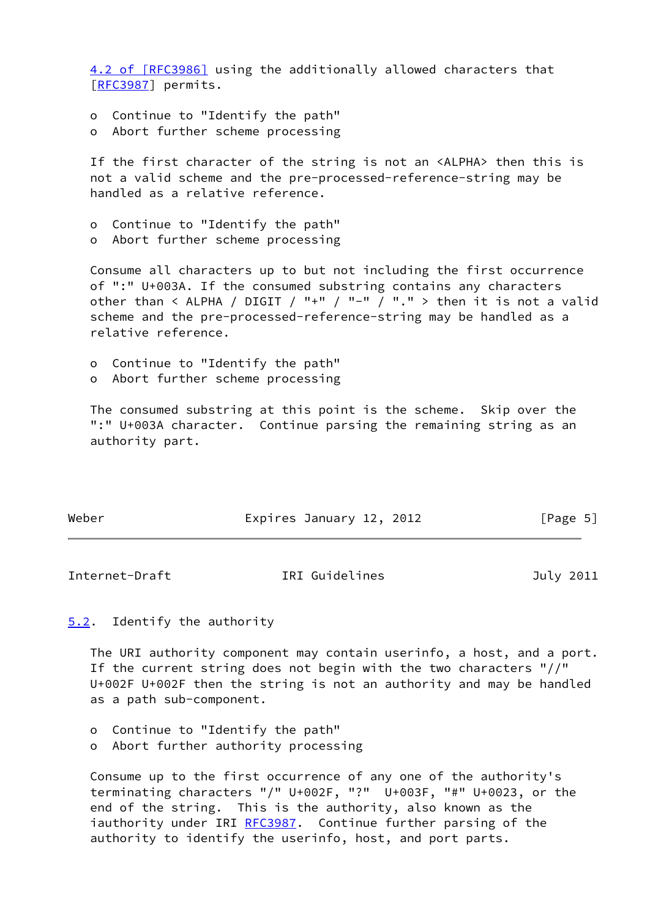[4.2 of \[RFC3986\]](https://datatracker.ietf.org/doc/pdf/rfc3986#section-4.2) using the additionally allowed characters that [\[RFC3987](https://datatracker.ietf.org/doc/pdf/rfc3987)] permits.

- o Continue to "Identify the path"
- o Abort further scheme processing

 If the first character of the string is not an <ALPHA> then this is not a valid scheme and the pre-processed-reference-string may be handled as a relative reference.

- o Continue to "Identify the path"
- o Abort further scheme processing

 Consume all characters up to but not including the first occurrence of ":" U+003A. If the consumed substring contains any characters other than  $\leq$  ALPHA / DIGIT / "+" / "-" / "." > then it is not a valid scheme and the pre-processed-reference-string may be handled as a relative reference.

- o Continue to "Identify the path"
- o Abort further scheme processing

 The consumed substring at this point is the scheme. Skip over the ":" U+003A character. Continue parsing the remaining string as an authority part.

| Weber | Expires January 12, 2012 | [Page 5] |
|-------|--------------------------|----------|
|       |                          |          |

<span id="page-5-1"></span>Internet-Draft **IRI** Guidelines July 2011

<span id="page-5-0"></span>[5.2](#page-5-0). Identify the authority

 The URI authority component may contain userinfo, a host, and a port. If the current string does not begin with the two characters "//" U+002F U+002F then the string is not an authority and may be handled as a path sub-component.

- o Continue to "Identify the path"
- o Abort further authority processing

 Consume up to the first occurrence of any one of the authority's terminating characters "/" U+002F, "?" U+003F, "#" U+0023, or the end of the string. This is the authority, also known as the iauthority under IRI [RFC3987](https://datatracker.ietf.org/doc/pdf/rfc3987). Continue further parsing of the authority to identify the userinfo, host, and port parts.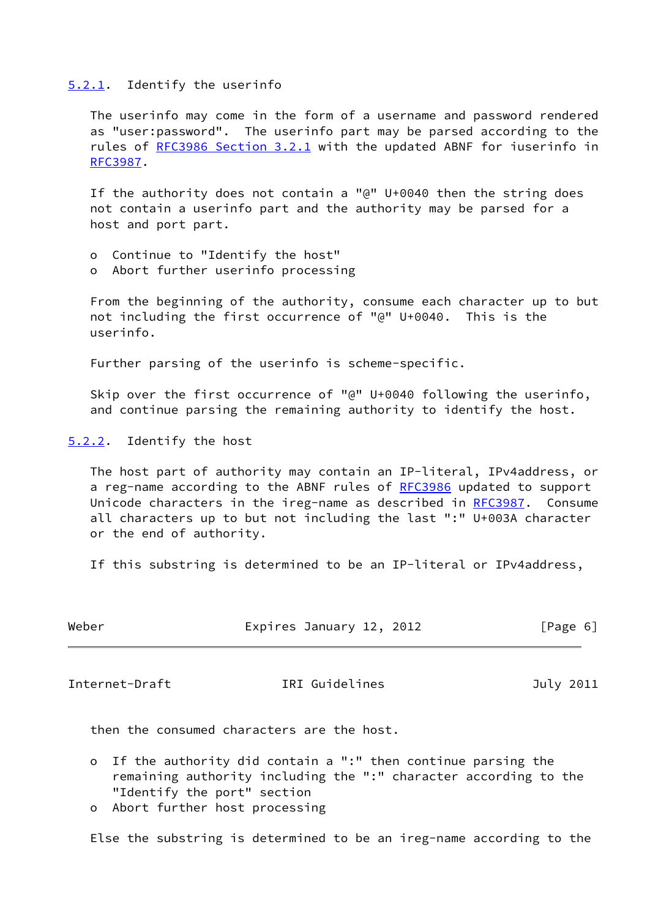#### <span id="page-6-0"></span>[5.2.1](#page-6-0). Identify the userinfo

 The userinfo may come in the form of a username and password rendered as "user:password". The userinfo part may be parsed according to the rules of [RFC3986 Section](https://datatracker.ietf.org/doc/pdf/rfc3986#section-3.2.1) 3.2.1 with the updated ABNF for iuserinfo in [RFC3987](https://datatracker.ietf.org/doc/pdf/rfc3987).

 If the authority does not contain a "@" U+0040 then the string does not contain a userinfo part and the authority may be parsed for a host and port part.

- o Continue to "Identify the host"
- o Abort further userinfo processing

 From the beginning of the authority, consume each character up to but not including the first occurrence of "@" U+0040. This is the userinfo.

Further parsing of the userinfo is scheme-specific.

 Skip over the first occurrence of "@" U+0040 following the userinfo, and continue parsing the remaining authority to identify the host.

<span id="page-6-1"></span>[5.2.2](#page-6-1). Identify the host

 The host part of authority may contain an IP-literal, IPv4address, or a reg-name according to the ABNF rules of [RFC3986](https://datatracker.ietf.org/doc/pdf/rfc3986) updated to support Unicode characters in the ireg-name as described in [RFC3987.](https://datatracker.ietf.org/doc/pdf/rfc3987) Consume all characters up to but not including the last ":" U+003A character or the end of authority.

If this substring is determined to be an IP-literal or IPv4address,

| Weber | Expires January 12, 2012 |  | [Page 6] |  |
|-------|--------------------------|--|----------|--|
|       |                          |  |          |  |

<span id="page-6-2"></span>Internet-Draft TRI Guidelines July 2011

then the consumed characters are the host.

- o If the authority did contain a ":" then continue parsing the remaining authority including the ":" character according to the "Identify the port" section
- o Abort further host processing

Else the substring is determined to be an ireg-name according to the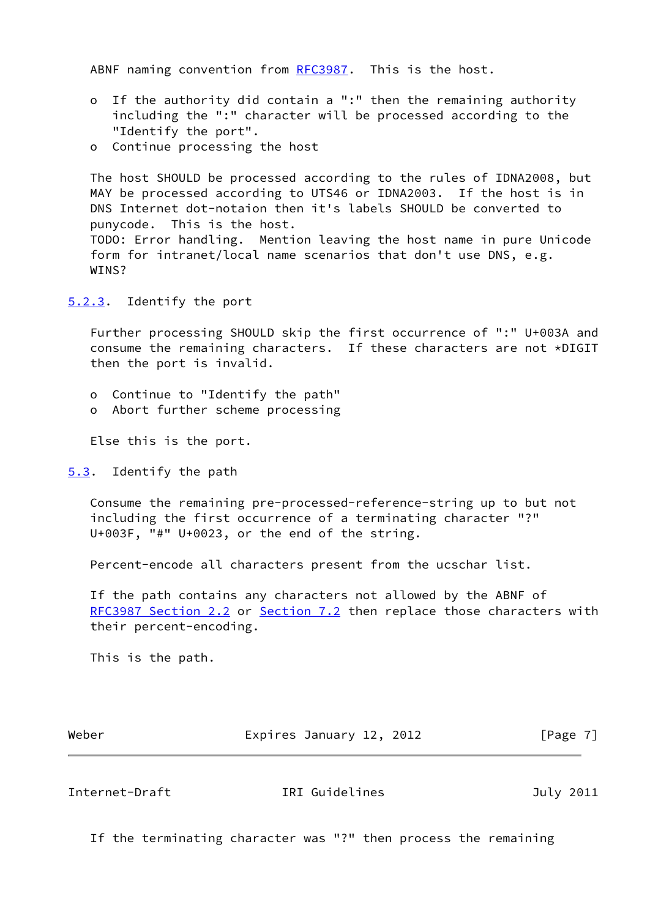ABNF naming convention from [RFC3987.](https://datatracker.ietf.org/doc/pdf/rfc3987) This is the host.

- o If the authority did contain a ":" then the remaining authority including the ":" character will be processed according to the "Identify the port".
- o Continue processing the host

 The host SHOULD be processed according to the rules of IDNA2008, but MAY be processed according to UTS46 or IDNA2003. If the host is in DNS Internet dot-notaion then it's labels SHOULD be converted to punycode. This is the host. TODO: Error handling. Mention leaving the host name in pure Unicode form for intranet/local name scenarios that don't use DNS, e.g. WINS?

<span id="page-7-0"></span>[5.2.3](#page-7-0). Identify the port

 Further processing SHOULD skip the first occurrence of ":" U+003A and consume the remaining characters. If these characters are not \*DIGIT then the port is invalid.

- o Continue to "Identify the path"
- o Abort further scheme processing

Else this is the port.

<span id="page-7-1"></span>[5.3](#page-7-1). Identify the path

 Consume the remaining pre-processed-reference-string up to but not including the first occurrence of a terminating character "?" U+003F, "#" U+0023, or the end of the string.

Percent-encode all characters present from the ucschar list.

 If the path contains any characters not allowed by the ABNF of [RFC3987 Section](https://datatracker.ietf.org/doc/pdf/rfc3987#section-2.2) 2.2 or Section 7.2 then replace those characters with their percent-encoding.

This is the path.

Weber **Expires January 12, 2012** [Page 7]

<span id="page-7-2"></span>Internet-Draft IRI Guidelines July 2011

If the terminating character was "?" then process the remaining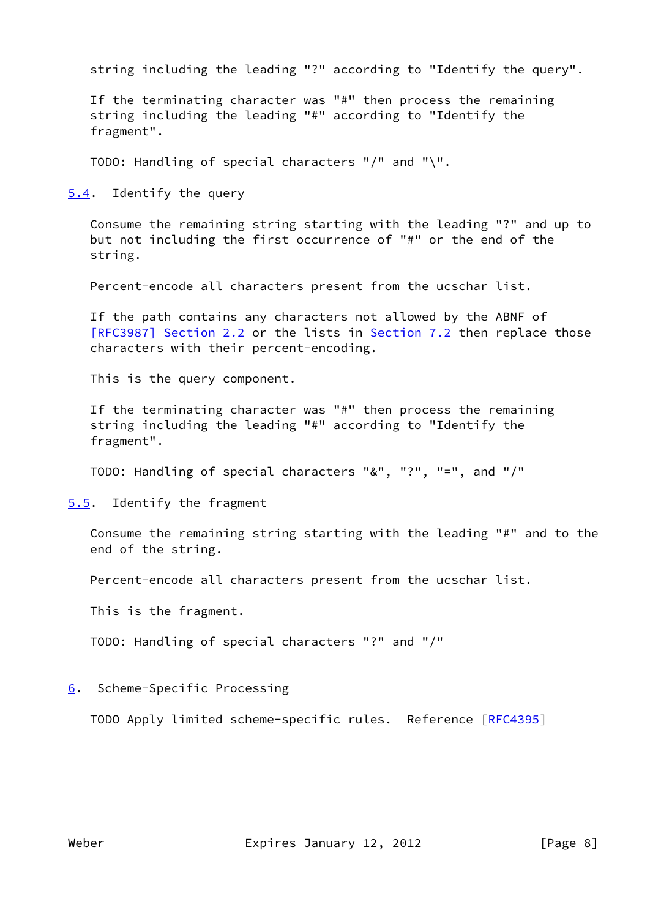string including the leading "?" according to "Identify the query".

 If the terminating character was "#" then process the remaining string including the leading "#" according to "Identify the fragment".

TODO: Handling of special characters "/" and "\".

<span id="page-8-0"></span>[5.4](#page-8-0). Identify the query

 Consume the remaining string starting with the leading "?" and up to but not including the first occurrence of "#" or the end of the string.

Percent-encode all characters present from the ucschar list.

 If the path contains any characters not allowed by the ABNF of [\[RFC3987\] Section](https://datatracker.ietf.org/doc/pdf/rfc3987#section-2.2) 2.2 or the lists in Section 7.2 then replace those characters with their percent-encoding.

This is the query component.

 If the terminating character was "#" then process the remaining string including the leading "#" according to "Identify the fragment".

TODO: Handling of special characters "&", "?", "=", and "/"

<span id="page-8-1"></span>[5.5](#page-8-1). Identify the fragment

 Consume the remaining string starting with the leading "#" and to the end of the string.

Percent-encode all characters present from the ucschar list.

This is the fragment.

TODO: Handling of special characters "?" and "/"

<span id="page-8-2"></span>[6](#page-8-2). Scheme-Specific Processing

TODO Apply limited scheme-specific rules. Reference [\[RFC4395](https://datatracker.ietf.org/doc/pdf/rfc4395)]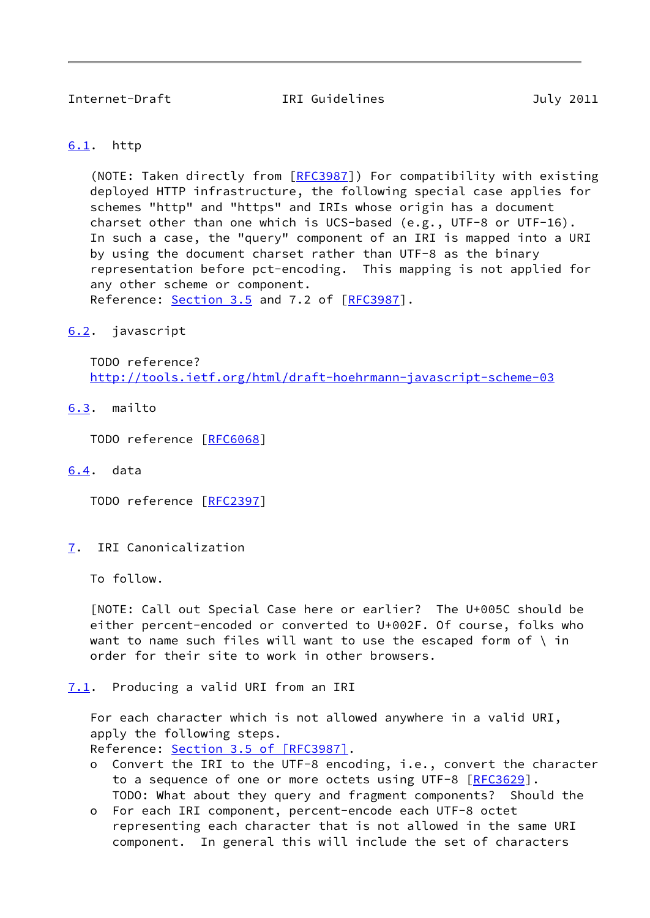<span id="page-9-1"></span>Internet-Draft IRI Guidelines July 2011

### <span id="page-9-0"></span>[6.1](#page-9-0). http

 (NOTE: Taken directly from [[RFC3987\]](https://datatracker.ietf.org/doc/pdf/rfc3987)) For compatibility with existing deployed HTTP infrastructure, the following special case applies for schemes "http" and "https" and IRIs whose origin has a document charset other than one which is UCS-based (e.g., UTF-8 or UTF-16). In such a case, the "query" component of an IRI is mapped into a URI by using the document charset rather than UTF-8 as the binary representation before pct-encoding. This mapping is not applied for any other scheme or component. Reference: Section 3.5 and 7.2 of [[RFC3987](https://datatracker.ietf.org/doc/pdf/rfc3987)].

## <span id="page-9-2"></span>[6.2](#page-9-2). javascript

 TODO reference? <http://tools.ietf.org/html/draft-hoehrmann-javascript-scheme-03>

<span id="page-9-3"></span>[6.3](#page-9-3). mailto

TODO reference [\[RFC6068](https://datatracker.ietf.org/doc/pdf/rfc6068)]

<span id="page-9-4"></span>[6.4](#page-9-4). data

TODO reference [\[RFC2397](https://datatracker.ietf.org/doc/pdf/rfc2397)]

<span id="page-9-5"></span>[7](#page-9-5). IRI Canonicalization

To follow.

 [NOTE: Call out Special Case here or earlier? The U+005C should be either percent-encoded or converted to U+002F. Of course, folks who want to name such files will want to use the escaped form of  $\langle$  in order for their site to work in other browsers.

<span id="page-9-6"></span>[7.1](#page-9-6). Producing a valid URI from an IRI

 For each character which is not allowed anywhere in a valid URI, apply the following steps.

Reference: Section [3.5 of \[RFC3987\].](https://datatracker.ietf.org/doc/pdf/rfc3987#section-3.5)

- o Convert the IRI to the UTF-8 encoding, i.e., convert the character to a sequence of one or more octets using UTF-8 [[RFC3629\]](https://datatracker.ietf.org/doc/pdf/rfc3629). TODO: What about they query and fragment components? Should the
- o For each IRI component, percent-encode each UTF-8 octet representing each character that is not allowed in the same URI component. In general this will include the set of characters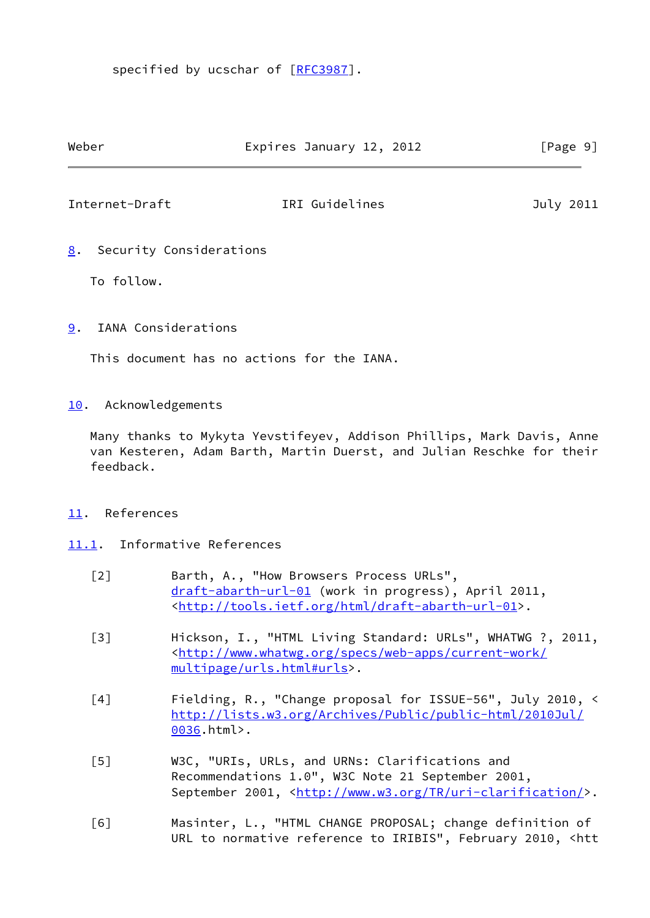specified by ucschar of [[RFC3987\]](https://datatracker.ietf.org/doc/pdf/rfc3987).

<span id="page-10-1"></span>

| Weber                                       | Expires January 12, 2012 | [Page 9]  |
|---------------------------------------------|--------------------------|-----------|
| Internet-Draft                              | IRI Guidelines           | July 2011 |
| Security Considerations<br>8.<br>To follow. |                          |           |
|                                             |                          |           |

<span id="page-10-2"></span><span id="page-10-0"></span>[9](#page-10-2). IANA Considerations

This document has no actions for the IANA.

<span id="page-10-3"></span>[10.](#page-10-3) Acknowledgements

 Many thanks to Mykyta Yevstifeyev, Addison Phillips, Mark Davis, Anne van Kesteren, Adam Barth, Martin Duerst, and Julian Reschke for their feedback.

#### <span id="page-10-4"></span>[11.](#page-10-4) References

- <span id="page-10-10"></span><span id="page-10-9"></span><span id="page-10-8"></span><span id="page-10-7"></span><span id="page-10-6"></span><span id="page-10-5"></span>[11.1](#page-10-5). Informative References
	- [2] Barth, A., "How Browsers Process URLs", [draft-abarth-url-01](https://datatracker.ietf.org/doc/pdf/draft-abarth-url-01) (work in progress), April 2011, <<http://tools.ietf.org/html/draft-abarth-url-01>>.
	- [3] Hickson, I., "HTML Living Standard: URLs", WHATWG ?, 2011, <[http://www.whatwg.org/specs/web-apps/current-work/](http://www.whatwg.org/specs/web-apps/current-work/multipage/urls.html#urls) [multipage/urls.html#urls>](http://www.whatwg.org/specs/web-apps/current-work/multipage/urls.html#urls).
	- [4] Fielding, R., "Change proposal for ISSUE-56", July 2010, < [http://lists.w3.org/Archives/Public/public-html/2010Jul/](http://lists.w3.org/Archives/Public/public-html/2010Jul/0036) [0036.](http://lists.w3.org/Archives/Public/public-html/2010Jul/0036)html>.
	- [5] W3C, "URIs, URLs, and URNs: Clarifications and Recommendations 1.0", W3C Note 21 September 2001, September 2001, <[http://www.w3.org/TR/uri-clarification/>](http://www.w3.org/TR/uri-clarification/).
	- [6] Masinter, L., "HTML CHANGE PROPOSAL; change definition of URL to normative reference to IRIBIS", February 2010, <htt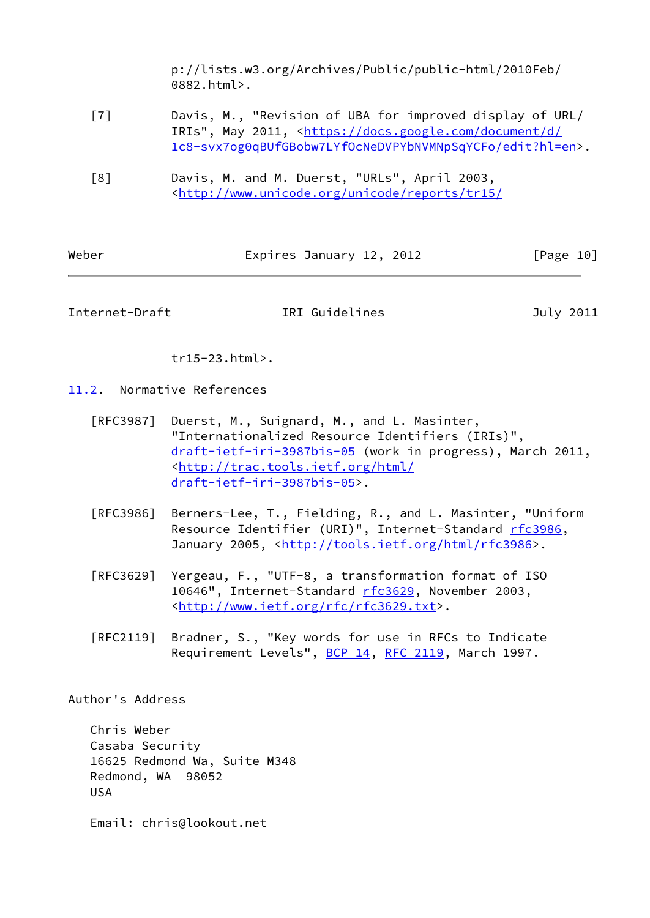p://lists.w3.org/Archives/Public/public-html/2010Feb/ 0882.html>.

- <span id="page-11-2"></span> [7] Davis, M., "Revision of UBA for improved display of URL/ IRIs", May 2011, [<https://docs.google.com/document/d/](https://docs.google.com/document/d/1c8-svx7og0qBUfGBobw7LYfOcNeDVPYbNVMNpSqYCFo/edit?hl=en) [1c8-svx7og0qBUfGBobw7LYfOcNeDVPYbNVMNpSqYCFo/edit?hl=en](https://docs.google.com/document/d/1c8-svx7og0qBUfGBobw7LYfOcNeDVPYbNVMNpSqYCFo/edit?hl=en)>.
- [8] Davis, M. and M. Duerst, "URLs", April 2003, <<http://www.unicode.org/unicode/reports/tr15/>

| Weber | Expires January 12, 2012 | [Page 10] |
|-------|--------------------------|-----------|
|-------|--------------------------|-----------|

<span id="page-11-1"></span>Internet-Draft IRI Guidelines July 2011

tr15-23.html>.

<span id="page-11-0"></span>[11.2](#page-11-0). Normative References

- [RFC3987] Duerst, M., Suignard, M., and L. Masinter, "Internationalized Resource Identifiers (IRIs)", [draft-ietf-iri-3987bis-05](https://datatracker.ietf.org/doc/pdf/draft-ietf-iri-3987bis-05) (work in progress), March 2011, <[http://trac.tools.ietf.org/html/](http://trac.tools.ietf.org/html/draft-ietf-iri-3987bis-05) [draft-ietf-iri-3987bis-05>](http://trac.tools.ietf.org/html/draft-ietf-iri-3987bis-05).
- [RFC3986] Berners-Lee, T., Fielding, R., and L. Masinter, "Uniform Resource Identifier (URI)", Internet-Standard [rfc3986](https://datatracker.ietf.org/doc/pdf/rfc3986), January 2005, [<http://tools.ietf.org/html/rfc3986>](http://tools.ietf.org/html/rfc3986).
- [RFC3629] Yergeau, F., "UTF-8, a transformation format of ISO 10646", Internet-Standard [rfc3629](https://datatracker.ietf.org/doc/pdf/rfc3629), November 2003, <[http://www.ietf.org/rfc/rfc3629.txt>](http://www.ietf.org/rfc/rfc3629.txt).
- [RFC2119] Bradner, S., "Key words for use in RFCs to Indicate Requirement Levels", [BCP 14](https://datatracker.ietf.org/doc/pdf/bcp14), [RFC 2119](https://datatracker.ietf.org/doc/pdf/rfc2119), March 1997.

Author's Address

 Chris Weber Casaba Security 16625 Redmond Wa, Suite M348 Redmond, WA 98052 USA

Email: chris@lookout.net